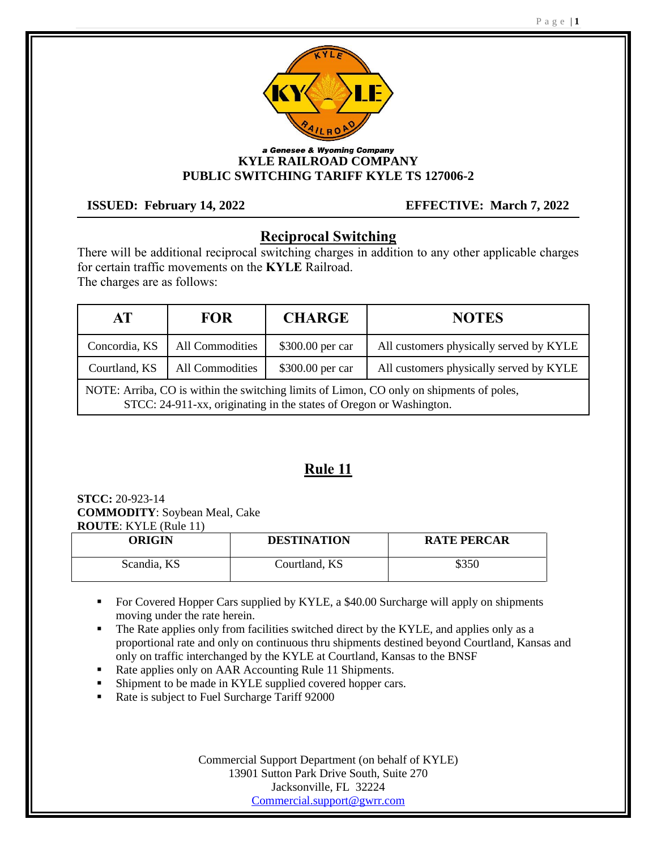

#### a Genesee & Wyoming Company **KYLE RAILROAD COMPANY PUBLIC SWITCHING TARIFF KYLE TS 127006-2**

## **ISSUED: February 14, 2022 EFFECTIVE: March 7, 2022**

## **Reciprocal Switching**

There will be additional reciprocal switching charges in addition to any other applicable charges for certain traffic movements on the **KYLE** Railroad. The charges are as follows:

| AT            | <b>FOR</b>      | <b>CHARGE</b>    | <b>NOTES</b>                            |  |
|---------------|-----------------|------------------|-----------------------------------------|--|
| Concordia, KS | All Commodities | \$300.00 per car | All customers physically served by KYLE |  |
| Courtland, KS | All Commodities | \$300.00 per car | All customers physically served by KYLE |  |
|               |                 |                  |                                         |  |

NOTE: Arriba, CO is within the switching limits of Limon, CO only on shipments of poles, STCC: 24-911-xx, originating in the states of Oregon or Washington.

# **Rule 11**

### **STCC:** 20-923-14 **COMMODITY**: Soybean Meal, Cake **ROUTE**: KYLE (Rule 11)

| <b>ORIGIN</b> | <b>DESTINATION</b> | <b>RATE PERCAR</b> |
|---------------|--------------------|--------------------|
| Scandia, KS   | Courtland, KS      | \$350              |

- For Covered Hopper Cars supplied by KYLE, a \$40.00 Surcharge will apply on shipments moving under the rate herein.
- The Rate applies only from facilities switched direct by the KYLE, and applies only as a proportional rate and only on continuous thru shipments destined beyond Courtland, Kansas and only on traffic interchanged by the KYLE at Courtland, Kansas to the BNSF
- Rate applies only on AAR Accounting Rule 11 Shipments.
- Shipment to be made in KYLE supplied covered hopper cars.
- Rate is subject to Fuel Surcharge Tariff 92000

Commercial Support Department (on behalf of KYLE) 13901 Sutton Park Drive South, Suite 270 Jacksonville, FL 32224 [Commercial.support@gwrr.com](mailto:Commercial.support@gwrr.com)